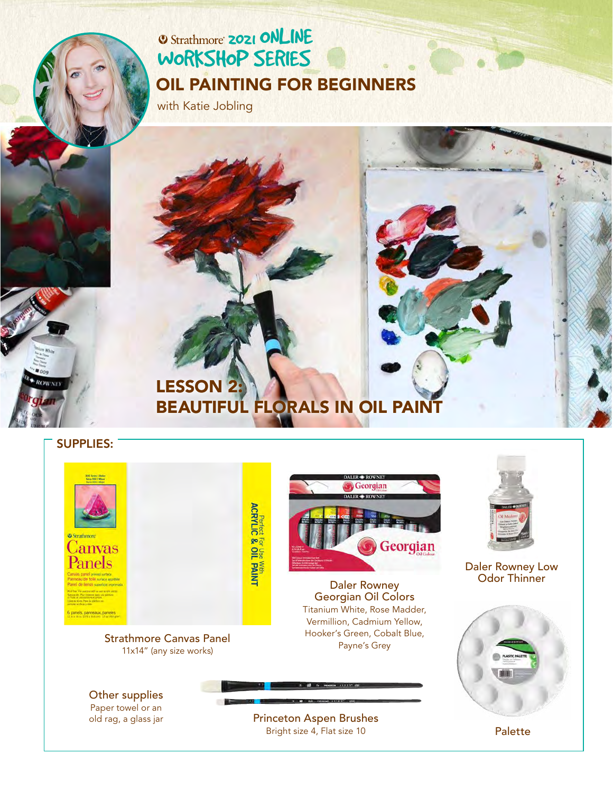# **2021 ONLINE** [WORKSHOP SERIES](https://www.strathmoreartiststudio.com/) [OIL PAINTING FOR BEGINNERS](https://www.strathmoreartiststudio.com/groups/workshop-4-2021/forum/)

with Katie Jobling

# LESSON 2: BEAUTIFUL FLORALS IN OIL PAII

### SUPPLIES:

**O** Strathmore Canvas Panels

**Perfect For Use With ACRYLIC & OIL PAINT** 

[Strathmore Canvas Panel](https://www.strathmoreartist.com/canvas-panels/id-300-series-canvas-panels.html) 11x14" (any size works)



Daler Rowney [Georgian Oil Colors](https://www.daler-rowney.com/georgian-oil-paint/)  Titanium White, Rose Madder, Vermillion, Cadmium Yellow, Hooker's Green, Cobalt Blue, Payne's Grey



[Daler Rowney Low](https://www.daler-rowney.com/georgian-oil-diluents-mediums-varnishes/)  Odor Thinner



Other supplies Paper towel or an old rag, a glass jar

[Princeton Aspen Brushes](https://www.princetonbrush.com/aspen-series-6500/)  Bright size 4, Flat size 10 Palette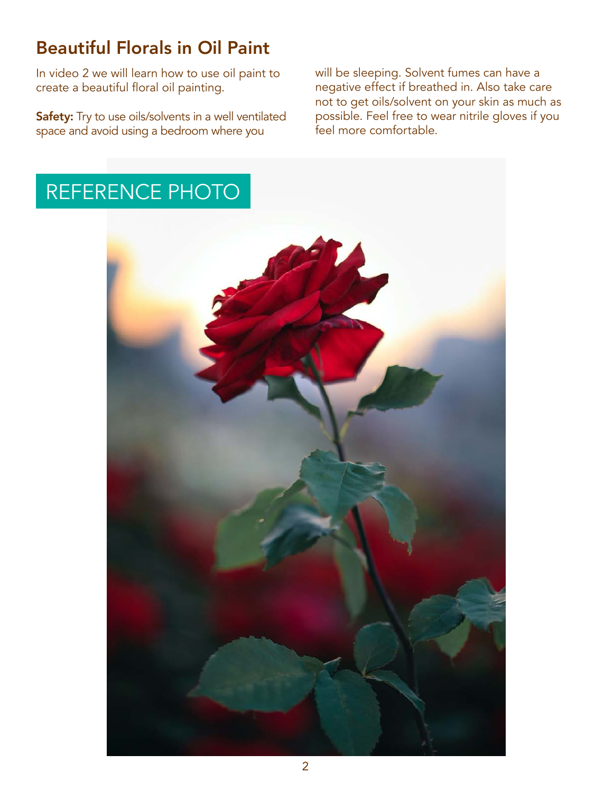# Beautiful Florals in Oil Paint

In video 2 we will learn how to use oil paint to create a beautiful floral oil painting.

Safety: Try to use oils/solvents in a well ventilated space and avoid using a bedroom where you

will be sleeping. Solvent fumes can have a negative effect if breathed in. Also take care not to get oils/solvent on your skin as much as possible. Feel free to wear nitrile gloves if you feel more comfortable.

# REFERENCE PHOTO

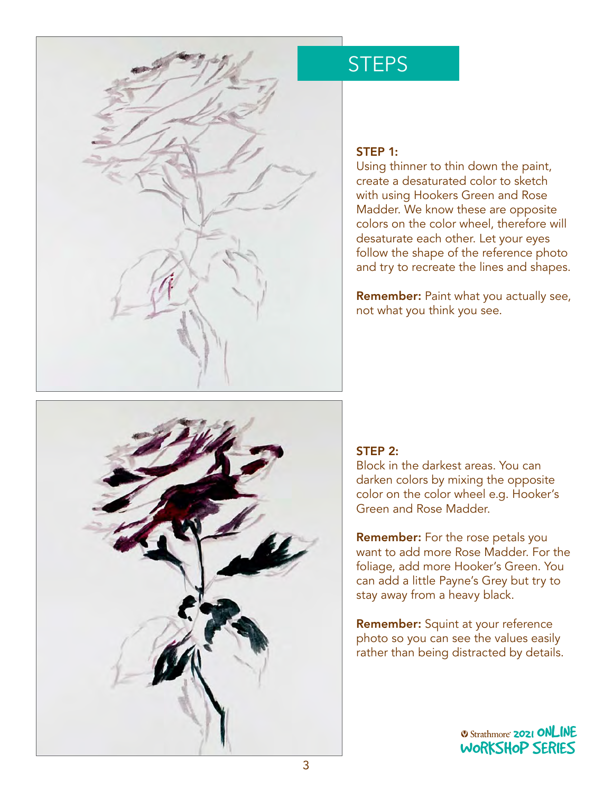

# **STEPS**

### STEP 1:

Using thinner to thin down the paint, create a desaturated color to sketch with using Hookers Green and Rose Madder. We know these are opposite colors on the color wheel, therefore will desaturate each other. Let your eyes follow the shape of the reference photo and try to recreate the lines and shapes.

Remember: Paint what you actually see, not what you think you see.



# STEP 2:

Block in the darkest areas. You can darken colors by mixing the opposite color on the color wheel e.g. Hooker's Green and Rose Madder.

Remember: For the rose petals you want to add more Rose Madder. For the foliage, add more Hooker's Green. You can add a little Payne's Grey but try to stay away from a heavy black.

Remember: Squint at your reference photo so you can see the values easily rather than being distracted by details. y actans.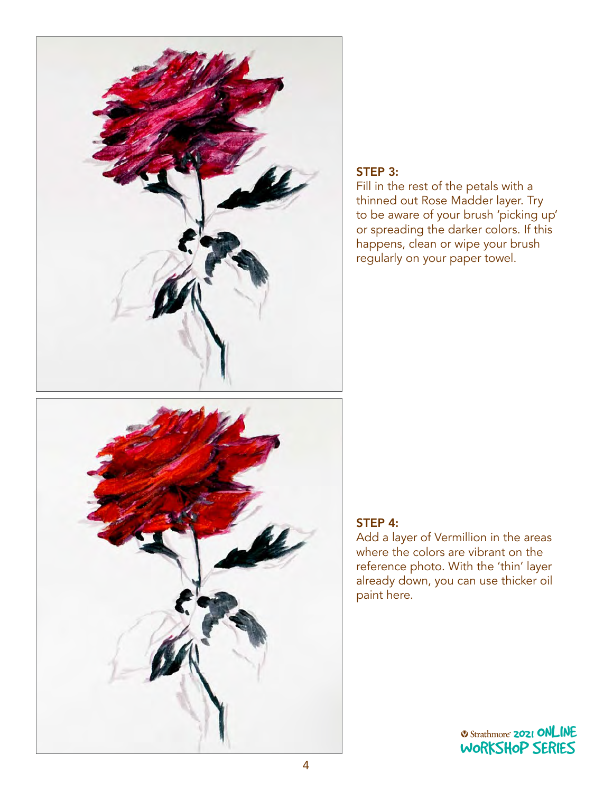

# STEP 3:

Fill in the rest of the petals with a thinned out Rose Madder layer. Try to be aware of your brush 'picking up' or spreading the darker colors. If this happens, clean or wipe your brush regularly on your paper towel.



# STEP 4:

Add a layer of Vermillion in the areas where the colors are vibrant on the reference photo. With the 'thin' layer already down, you can use thicker oil paint here.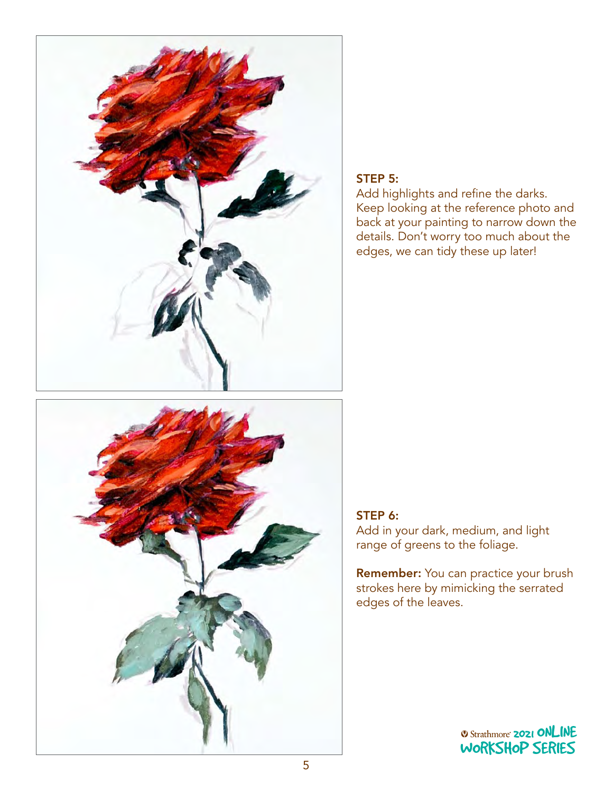



# STEP 5:

Add highlights and refine the darks. Keep looking at the reference photo and back at your painting to narrow down the details. Don't worry too much about the edges, we can tidy these up later!

## STEP 6:

Add in your dark, medium, and light range of greens to the foliage.

Remember: You can practice your brush strokes here by mimicking the serrated edges of the leaves.